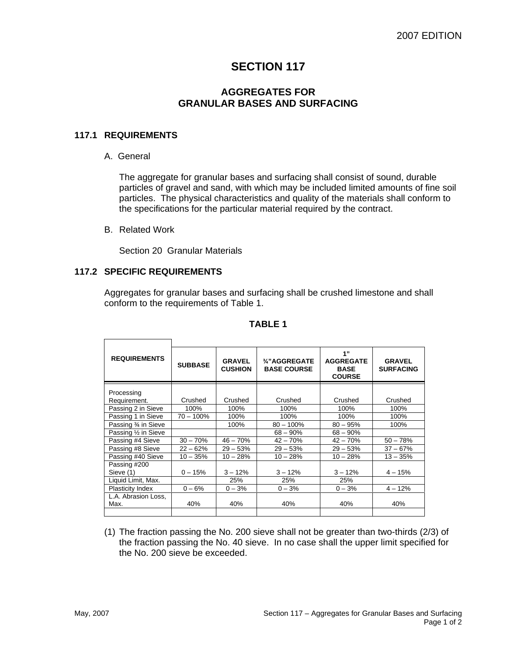## **SECTION 117**

## **AGGREGATES FOR GRANULAR BASES AND SURFACING**

#### **117.1 REQUIREMENTS**

A. General

The aggregate for granular bases and surfacing shall consist of sound, durable particles of gravel and sand, with which may be included limited amounts of fine soil particles. The physical characteristics and quality of the materials shall conform to the specifications for the particular material required by the contract.

B. Related Work

Section 20 Granular Materials

## **117.2 SPECIFIC REQUIREMENTS**

Aggregates for granular bases and surfacing shall be crushed limestone and shall conform to the requirements of Table 1.

| <b>REQUIREMENTS</b>     | <b>SUBBASE</b> | <b>GRAVEL</b><br><b>CUSHION</b> | 3/4"AGGREGATE<br><b>BASE COURSE</b> | 1"<br><b>AGGREGATE</b><br><b>BASE</b><br><b>COURSE</b> | <b>GRAVEL</b><br><b>SURFACING</b> |
|-------------------------|----------------|---------------------------------|-------------------------------------|--------------------------------------------------------|-----------------------------------|
| Processing              |                |                                 |                                     |                                                        |                                   |
|                         |                | Crushed                         |                                     |                                                        |                                   |
| Requirement.            | Crushed        |                                 | Crushed                             | Crushed                                                | Crushed                           |
| Passing 2 in Sieve      | 100%           | 100%                            | 100%                                | 100%                                                   | 100%                              |
| Passing 1 in Sieve      | $70 - 100\%$   | 100%                            | 100%                                | 100%                                                   | 100%                              |
| Passing 3⁄4 in Sieve    |                | 100%                            | $80 - 100\%$                        | $80 - 95%$                                             | 100%                              |
| Passing 1/2 in Sieve    |                |                                 | $68 - 90\%$                         | $68 - 90\%$                                            |                                   |
| Passing #4 Sieve        | $30 - 70%$     | $46 - 70%$                      | $42 - 70%$                          | $42 - 70%$                                             | $50 - 78%$                        |
| Passing #8 Sieve        | $22 - 62%$     | $29 - 53%$                      | $29 - 53%$                          | $29 - 53%$                                             | $37 - 67%$                        |
| Passing #40 Sieve       | $10 - 35%$     | $10 - 28%$                      | $10 - 28%$                          | $10 - 28%$                                             | $13 - 35%$                        |
| Passing #200            |                |                                 |                                     |                                                        |                                   |
| Sieve (1)               | $0 - 15%$      | $3 - 12%$                       | $3 - 12%$                           | $3 - 12%$                                              | $4 - 15%$                         |
| Liquid Limit, Max.      |                | 25%                             | 25%                                 | 25%                                                    |                                   |
| <b>Plasticity Index</b> | $0 - 6%$       | $0 - 3%$                        | $0 - 3%$                            | $0 - 3%$                                               | $4 - 12%$                         |
| L.A. Abrasion Loss,     |                |                                 |                                     |                                                        |                                   |
| Max.                    | 40%            | 40%                             | 40%                                 | 40%                                                    | 40%                               |
|                         |                |                                 |                                     |                                                        |                                   |

#### **TABLE 1**

(1) The fraction passing the No. 200 sieve shall not be greater than two-thirds (2/3) of the fraction passing the No. 40 sieve. In no case shall the upper limit specified for the No. 200 sieve be exceeded.